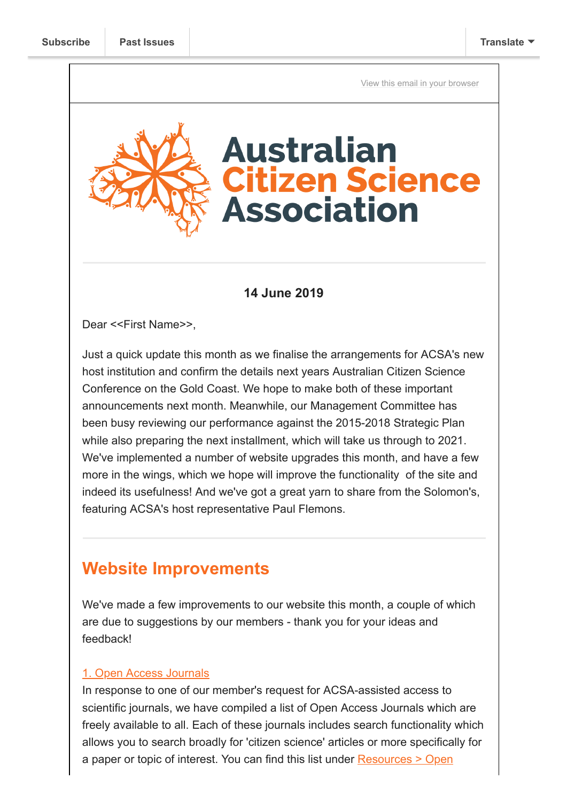[View this email in your browser](https://mailchi.mp/274306a51938/citizen-science-in-the-solomons-and-the-latest-from-acsa-sa?e=[UNIQID])

# **Australian itizen Science Association**

## **14 June 2019**

Dear <<First Name>>,

Just a quick update this month as we finalise the arrangements for ACSA's new host institution and confirm the details next years Australian Citizen Science Conference on the Gold Coast. We hope to make both of these important announcements next month. Meanwhile, our Management Committee has been busy reviewing our performance against the 2015-2018 Strategic Plan while also preparing the next installment, which will take us through to 2021. We've implemented a number of website upgrades this month, and have a few more in the wings, which we hope will improve the functionality of the site and indeed its usefulness! And we've got a great yarn to share from the Solomon's, featuring ACSA's host representative Paul Flemons.

# **Website Improvements**

We've made a few improvements to our website this month, a couple of which are due to suggestions by our members - thank you for your ideas and feedback!

#### [1. Open Access Journals](https://citizenscience.org.au/open-access-journals/)

In response to one of our member's request for ACSA-assisted access to scientific journals, we have compiled a list of Open Access Journals which are freely available to all. Each of these journals includes search functionality which allows you to search broadly for 'citizen science' articles or more specifically for [a paper or topic of interest. You can find this list under Resources > Open](https://citizenscience.org.au/open-access-journals/)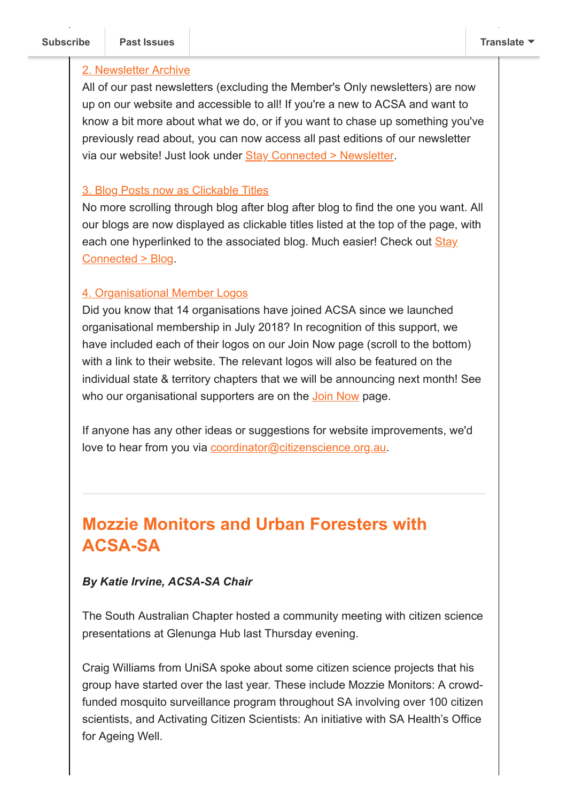#### [2. Newsletter Archive](https://citizenscience.org.au/join-the-newsletter/)

All of our past newsletters (excluding the Member's Only newsletters) are now up on our website and accessible to all! If you're a new to ACSA and want to know a bit more about what we do, or if you want to chase up something you've previously read about, you can now access all past editions of our newsletter via our website! Just look under [Stay Connected > Newsletter.](https://citizenscience.org.au/join-the-newsletter/)

#### [3. Blog Posts now as Clickable Titles](https://citizenscience.org.au/blog/)

No more scrolling through blog after blog after blog to find the one you want. All our blogs are now displayed as clickable titles listed at the top of the page, with [each one hyperlinked to the associated blog. Much easier! Check out Stay](https://citizenscience.org.au/blog/) Connected > Blog.

## [4. Organisational Member Logos](https://citizenscience.org.au/join-now/)

Did you know that 14 organisations have joined ACSA since we launched organisational membership in July 2018? In recognition of this support, we have included each of their logos on our Join Now page (scroll to the bottom) with a link to their website. The relevant logos will also be featured on the individual state & territory chapters that we will be announcing next month! See who our organisational supporters are on the [Join Now](https://citizenscience.org.au/join-now/) page.

If anyone has any other ideas or suggestions for website improvements, we'd love to hear from you via [coordinator@citizenscience.org.au.](mailto:coordinator@citizenscience.org.au)

# **Mozzie Monitors and Urban Foresters with ACSA-SA**

## *By Katie Irvine, ACSA-SA Chair*

The South Australian Chapter hosted a community meeting with citizen science presentations at Glenunga Hub last Thursday evening.

Craig Williams from UniSA spoke about some citizen science projects that his group have started over the last year. These include Mozzie Monitors: A crowdfunded mosquito surveillance program throughout SA involving over 100 citizen scientists, and Activating Citizen Scientists: An initiative with SA Health's Office for Ageing Well.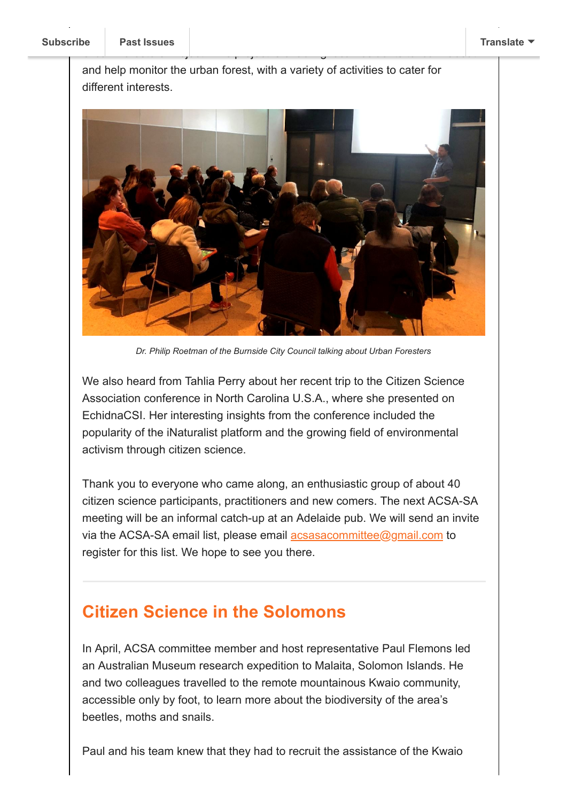and help monitor the urban forest, with a variety of activities to cater for different interests.

Urban Foresters Project. This project is enabling local residents to learn about



*Dr. Philip Roetman of the Burnside City Council talking about Urban Foresters*

We also heard from Tahlia Perry about her recent trip to the Citizen Science Association conference in North Carolina U.S.A., where she presented on EchidnaCSI. Her interesting insights from the conference included the popularity of the iNaturalist platform and the growing field of environmental activism through citizen science.

Thank you to everyone who came along, an enthusiastic group of about 40 citizen science participants, practitioners and new comers. The next ACSA-SA meeting will be an informal catch-up at an Adelaide pub. We will send an invite via the ACSA-SA email list, please email **acsasacommittee@gmail.com** to register for this list. We hope to see you there.

# **Citizen Science in the Solomons**

In April, ACSA committee member and host representative Paul Flemons led an Australian Museum research expedition to Malaita, Solomon Islands. He and two colleagues travelled to the remote mountainous Kwaio community, accessible only by foot, to learn more about the biodiversity of the area's beetles, moths and snails.

Paul and his team knew that they had to recruit the assistance of the Kwaio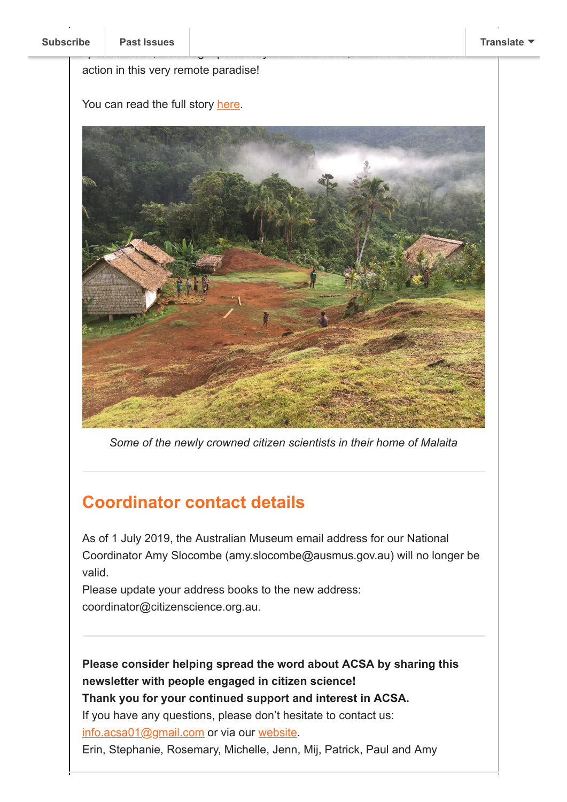#### action in this very remote paradise!

You can read the full story [here](https://australianmuseum.net.au/blog/amri-news/expedition-to-malaita-the-return/).



species found, including 3 potentially new to science, it was citizen science, it was citizen science, it was c

*Some of the newly crowned citizen scientists in their home of Malaita*

# **Coordinator contact details**

As of 1 July 2019, the Australian Museum email address for our National Coordinator Amy Slocombe (amy.slocombe@ausmus.gov.au) will no longer be valid.

Please update your address books to the new address: coordinator@citizenscience.org.au.

**Please consider helping spread the word about ACSA by sharing this newsletter with people engaged in citizen science!**

**Thank you for your continued support and interest in ACSA.**

If you have any questions, please don't hesitate to contact us:

[info.acsa01@gmail.com](mailto:info.acsa01@gmail.com) or via our [website](http://csna.gaiaresources.com.au/wordpress/contact-us/).

Erin, Stephanie, Rosemary, Michelle, Jenn, Mij, Patrick, Paul and Amy